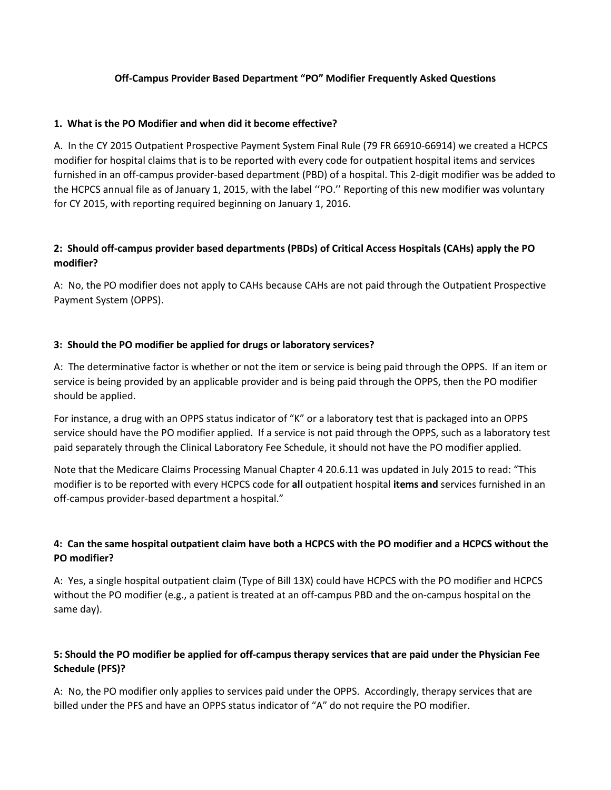### **Off-Campus Provider Based Department "PO" Modifier Frequently Asked Questions**

### **1. What is the PO Modifier and when did it become effective?**

A. In the CY 2015 Outpatient Prospective Payment System Final Rule (79 FR 66910-66914) we created a HCPCS modifier for hospital claims that is to be reported with every code for outpatient hospital items and services furnished in an off-campus provider-based department (PBD) of a hospital. This 2-digit modifier was be added to the HCPCS annual file as of January 1, 2015, with the label ''PO.'' Reporting of this new modifier was voluntary for CY 2015, with reporting required beginning on January 1, 2016.

# **2: Should off-campus provider based departments (PBDs) of Critical Access Hospitals (CAHs) apply the PO modifier?**

A: No, the PO modifier does not apply to CAHs because CAHs are not paid through the Outpatient Prospective Payment System (OPPS).

# **3: Should the PO modifier be applied for drugs or laboratory services?**

A: The determinative factor is whether or not the item or service is being paid through the OPPS. If an item or service is being provided by an applicable provider and is being paid through the OPPS, then the PO modifier should be applied.

For instance, a drug with an OPPS status indicator of "K" or a laboratory test that is packaged into an OPPS service should have the PO modifier applied. If a service is not paid through the OPPS, such as a laboratory test paid separately through the Clinical Laboratory Fee Schedule, it should not have the PO modifier applied.

Note that the Medicare Claims Processing Manual Chapter 4 20.6.11 was updated in July 2015 to read: "This modifier is to be reported with every HCPCS code for **all** outpatient hospital **items and** services furnished in an off-campus provider-based department a hospital."

# **4: Can the same hospital outpatient claim have both a HCPCS with the PO modifier and a HCPCS without the PO modifier?**

A: Yes, a single hospital outpatient claim (Type of Bill 13X) could have HCPCS with the PO modifier and HCPCS without the PO modifier (e.g., a patient is treated at an off-campus PBD and the on-campus hospital on the same day).

# **5: Should the PO modifier be applied for off-campus therapy services that are paid under the Physician Fee Schedule (PFS)?**

A: No, the PO modifier only applies to services paid under the OPPS. Accordingly, therapy services that are billed under the PFS and have an OPPS status indicator of "A" do not require the PO modifier.